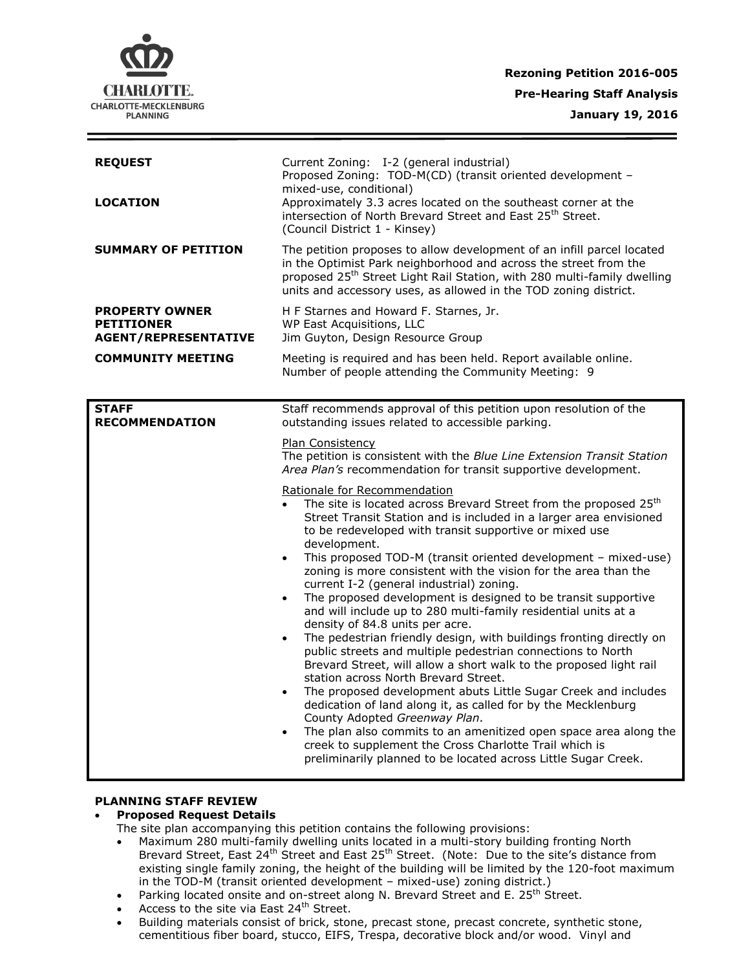

| <b>REQUEST</b><br><b>LOCATION</b>                                                                     | Current Zoning: I-2 (general industrial)<br>Proposed Zoning: TOD-M(CD) (transit oriented development -<br>mixed-use, conditional)<br>Approximately 3.3 acres located on the southeast corner at the<br>intersection of North Brevard Street and East 25 <sup>th</sup> Street.<br>(Council District 1 - Kinsey)                                                                                                                                                                                                                                                                                                                                                                                                                                                                                                                                                                                                                                                                                                                                                                                                                                                                                                                                                                                                                                                                                                                                                                                                                                                                                          |
|-------------------------------------------------------------------------------------------------------|---------------------------------------------------------------------------------------------------------------------------------------------------------------------------------------------------------------------------------------------------------------------------------------------------------------------------------------------------------------------------------------------------------------------------------------------------------------------------------------------------------------------------------------------------------------------------------------------------------------------------------------------------------------------------------------------------------------------------------------------------------------------------------------------------------------------------------------------------------------------------------------------------------------------------------------------------------------------------------------------------------------------------------------------------------------------------------------------------------------------------------------------------------------------------------------------------------------------------------------------------------------------------------------------------------------------------------------------------------------------------------------------------------------------------------------------------------------------------------------------------------------------------------------------------------------------------------------------------------|
| <b>SUMMARY OF PETITION</b>                                                                            | The petition proposes to allow development of an infill parcel located<br>in the Optimist Park neighborhood and across the street from the<br>proposed 25 <sup>th</sup> Street Light Rail Station, with 280 multi-family dwelling<br>units and accessory uses, as allowed in the TOD zoning district.                                                                                                                                                                                                                                                                                                                                                                                                                                                                                                                                                                                                                                                                                                                                                                                                                                                                                                                                                                                                                                                                                                                                                                                                                                                                                                   |
| <b>PROPERTY OWNER</b><br><b>PETITIONER</b><br><b>AGENT/REPRESENTATIVE</b><br><b>COMMUNITY MEETING</b> | H F Starnes and Howard F. Starnes, Jr.<br>WP East Acquisitions, LLC<br>Jim Guyton, Design Resource Group<br>Meeting is required and has been held. Report available online.<br>Number of people attending the Community Meeting: 9                                                                                                                                                                                                                                                                                                                                                                                                                                                                                                                                                                                                                                                                                                                                                                                                                                                                                                                                                                                                                                                                                                                                                                                                                                                                                                                                                                      |
| <b>STAFF</b><br><b>RECOMMENDATION</b>                                                                 | Staff recommends approval of this petition upon resolution of the<br>outstanding issues related to accessible parking.<br>Plan Consistency<br>The petition is consistent with the Blue Line Extension Transit Station<br>Area Plan's recommendation for transit supportive development.<br>Rationale for Recommendation<br>The site is located across Brevard Street from the proposed 25 <sup>th</sup><br>Street Transit Station and is included in a larger area envisioned<br>to be redeveloped with transit supportive or mixed use<br>development.<br>This proposed TOD-M (transit oriented development - mixed-use)<br>$\bullet$<br>zoning is more consistent with the vision for the area than the<br>current I-2 (general industrial) zoning.<br>The proposed development is designed to be transit supportive<br>$\bullet$<br>and will include up to 280 multi-family residential units at a<br>density of 84.8 units per acre.<br>The pedestrian friendly design, with buildings fronting directly on<br>$\bullet$<br>public streets and multiple pedestrian connections to North<br>Brevard Street, will allow a short walk to the proposed light rail<br>station across North Brevard Street.<br>The proposed development abuts Little Sugar Creek and includes<br>$\bullet$<br>dedication of land along it, as called for by the Mecklenburg<br>County Adopted Greenway Plan.<br>The plan also commits to an amenitized open space area along the<br>$\bullet$<br>creek to supplement the Cross Charlotte Trail which is<br>preliminarily planned to be located across Little Sugar Creek. |

## **PLANNING STAFF REVIEW**

# **Proposed Request Details**

The site plan accompanying this petition contains the following provisions:

- Maximum 280 multi-family dwelling units located in a multi-story building fronting North Brevard Street, East 24<sup>th</sup> Street and East 25<sup>th</sup> Street. (Note: Due to the site's distance from existing single family zoning, the height of the building will be limited by the 120-foot maximum in the TOD-M (transit oriented development – mixed-use) zoning district.)
- Parking located onsite and on-street along N. Brevard Street and E. 25<sup>th</sup> Street.
- Access to the site via East 24<sup>th</sup> Street.
- Building materials consist of brick, stone, precast stone, precast concrete, synthetic stone, cementitious fiber board, stucco, EIFS, Trespa, decorative block and/or wood. Vinyl and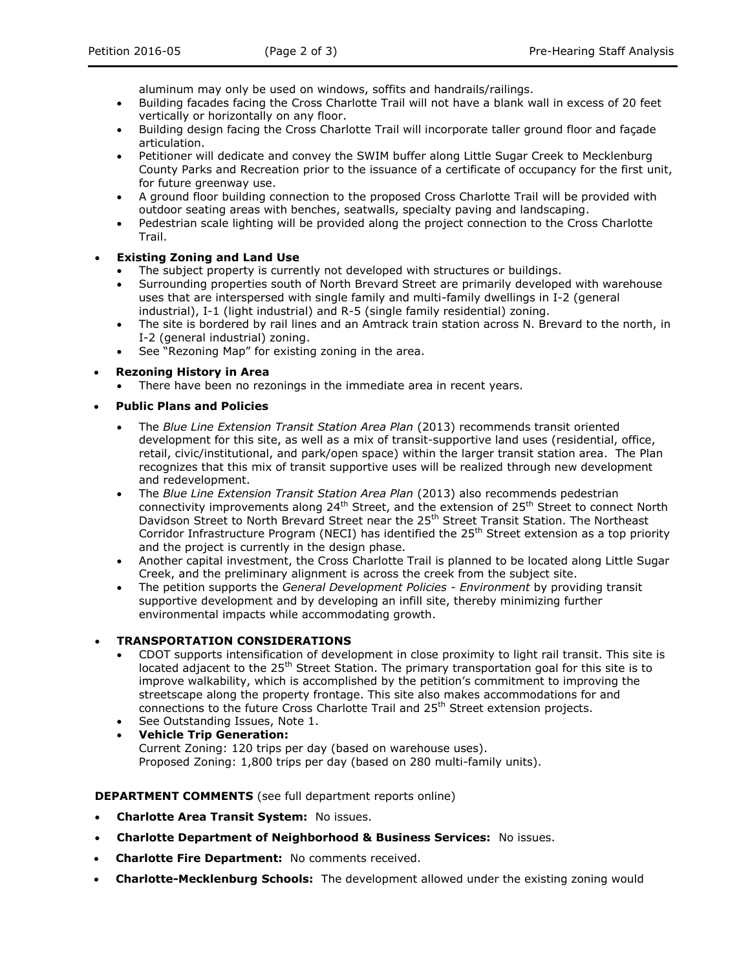aluminum may only be used on windows, soffits and handrails/railings.

- Building facades facing the Cross Charlotte Trail will not have a blank wall in excess of 20 feet vertically or horizontally on any floor.
- Building design facing the Cross Charlotte Trail will incorporate taller ground floor and façade articulation.
- Petitioner will dedicate and convey the SWIM buffer along Little Sugar Creek to Mecklenburg County Parks and Recreation prior to the issuance of a certificate of occupancy for the first unit, for future greenway use.
- A ground floor building connection to the proposed Cross Charlotte Trail will be provided with outdoor seating areas with benches, seatwalls, specialty paving and landscaping.
- Pedestrian scale lighting will be provided along the project connection to the Cross Charlotte Trail.

## **Existing Zoning and Land Use**

- The subject property is currently not developed with structures or buildings.
- Surrounding properties south of North Brevard Street are primarily developed with warehouse uses that are interspersed with single family and multi-family dwellings in I-2 (general industrial), I-1 (light industrial) and R-5 (single family residential) zoning.
- The site is bordered by rail lines and an Amtrack train station across N. Brevard to the north, in I-2 (general industrial) zoning.
- See "Rezoning Map" for existing zoning in the area.

**Rezoning History in Area**

There have been no rezonings in the immediate area in recent years.

# **Public Plans and Policies**

- The *Blue Line Extension Transit Station Area Plan* (2013) recommends transit oriented development for this site, as well as a mix of transit-supportive land uses (residential, office, retail, civic/institutional, and park/open space) within the larger transit station area. The Plan recognizes that this mix of transit supportive uses will be realized through new development and redevelopment.
- The *Blue Line Extension Transit Station Area Plan* (2013) also recommends pedestrian connectivity improvements along 24<sup>th</sup> Street, and the extension of 25<sup>th</sup> Street to connect North Davidson Street to North Brevard Street near the 25<sup>th</sup> Street Transit Station. The Northeast Corridor Infrastructure Program (NECI) has identified the  $25<sup>th</sup>$  Street extension as a top priority and the project is currently in the design phase.
- Another capital investment, the Cross Charlotte Trail is planned to be located along Little Sugar Creek, and the preliminary alignment is across the creek from the subject site.
- The petition supports the *General Development Policies - Environment* by providing transit supportive development and by developing an infill site, thereby minimizing further environmental impacts while accommodating growth.

## **TRANSPORTATION CONSIDERATIONS**

- CDOT supports intensification of development in close proximity to light rail transit. This site is located adjacent to the 25<sup>th</sup> Street Station. The primary transportation goal for this site is to improve walkability, which is accomplished by the petition's commitment to improving the streetscape along the property frontage. This site also makes accommodations for and connections to the future Cross Charlotte Trail and 25<sup>th</sup> Street extension projects.
- See Outstanding Issues, Note 1.
- **Vehicle Trip Generation:** Current Zoning: 120 trips per day (based on warehouse uses). Proposed Zoning: 1,800 trips per day (based on 280 multi-family units).

**DEPARTMENT COMMENTS** (see full department reports online)

- **Charlotte Area Transit System:** No issues.
- **Charlotte Department of Neighborhood & Business Services:** No issues.
- **Charlotte Fire Department:** No comments received.
- **Charlotte-Mecklenburg Schools:** The development allowed under the existing zoning would